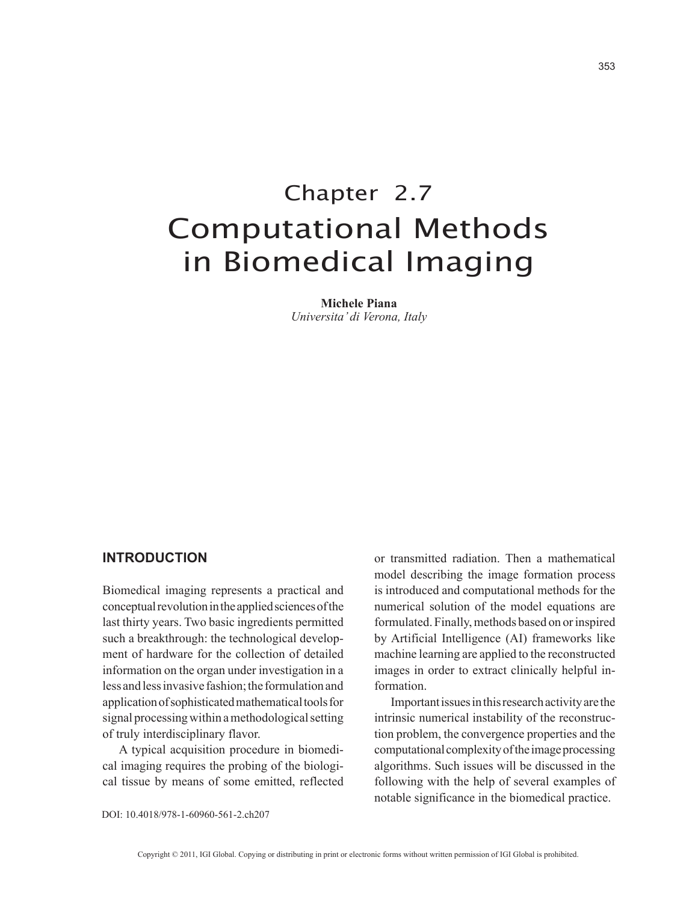# Chapter 2.7 Computational Methods in Biomedical Imaging

**Michele Piana** *Universita' di Verona, Italy*

### **introduction**

Biomedical imaging represents a practical and conceptual revolution in the applied sciences of the last thirty years. Two basic ingredients permitted such a breakthrough: the technological development of hardware for the collection of detailed information on the organ under investigation in a less and less invasive fashion; the formulation and application of sophisticated mathematical tools for signal processing within a methodological setting of truly interdisciplinary flavor.

A typical acquisition procedure in biomedical imaging requires the probing of the biological tissue by means of some emitted, reflected or transmitted radiation. Then a mathematical model describing the image formation process is introduced and computational methods for the numerical solution of the model equations are formulated. Finally, methods based on or inspired by Artificial Intelligence (AI) frameworks like machine learning are applied to the reconstructed images in order to extract clinically helpful information.

Important issues in this research activity are the intrinsic numerical instability of the reconstruction problem, the convergence properties and the computational complexity of the image processing algorithms. Such issues will be discussed in the following with the help of several examples of notable significance in the biomedical practice.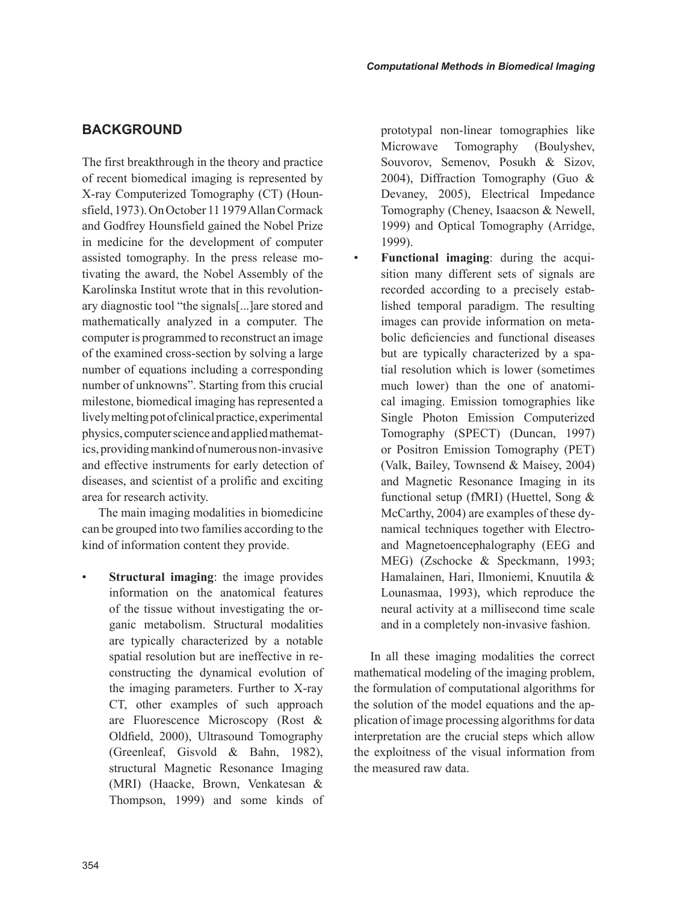# **bAcKground**

The first breakthrough in the theory and practice of recent biomedical imaging is represented by X-ray Computerized Tomography (CT) (Hounsfield, 1973). On October 11 1979 Allan Cormack and Godfrey Hounsfield gained the Nobel Prize in medicine for the development of computer assisted tomography. In the press release motivating the award, the Nobel Assembly of the Karolinska Institut wrote that in this revolutionary diagnostic tool "the signals[...]are stored and mathematically analyzed in a computer. The computer is programmed to reconstruct an image of the examined cross-section by solving a large number of equations including a corresponding number of unknowns". Starting from this crucial milestone, biomedical imaging has represented a lively melting pot of clinical practice, experimental physics, computer science and applied mathematics, providing mankind of numerous non-invasive and effective instruments for early detection of diseases, and scientist of a prolific and exciting area for research activity.

The main imaging modalities in biomedicine can be grouped into two families according to the kind of information content they provide.

**Structural imaging**: the image provides information on the anatomical features of the tissue without investigating the organic metabolism. Structural modalities are typically characterized by a notable spatial resolution but are ineffective in reconstructing the dynamical evolution of the imaging parameters. Further to X-ray CT, other examples of such approach are Fluorescence Microscopy (Rost & Oldfield, 2000), Ultrasound Tomography (Greenleaf, Gisvold & Bahn, 1982), structural Magnetic Resonance Imaging (MRI) (Haacke, Brown, Venkatesan & Thompson, 1999) and some kinds of prototypal non-linear tomographies like Microwave Tomography (Boulyshev, Souvorov, Semenov, Posukh & Sizov, 2004), Diffraction Tomography (Guo & Devaney, 2005), Electrical Impedance Tomography (Cheney, Isaacson & Newell, 1999) and Optical Tomography (Arridge, 1999).

• **Functional imaging**: during the acquisition many different sets of signals are recorded according to a precisely established temporal paradigm. The resulting images can provide information on metabolic deficiencies and functional diseases but are typically characterized by a spatial resolution which is lower (sometimes much lower) than the one of anatomical imaging. Emission tomographies like Single Photon Emission Computerized Tomography (SPECT) (Duncan, 1997) or Positron Emission Tomography (PET) (Valk, Bailey, Townsend & Maisey, 2004) and Magnetic Resonance Imaging in its functional setup (fMRI) (Huettel, Song & McCarthy, 2004) are examples of these dynamical techniques together with Electroand Magnetoencephalography (EEG and MEG) (Zschocke & Speckmann, 1993; Hamalainen, Hari, Ilmoniemi, Knuutila & Lounasmaa, 1993), which reproduce the neural activity at a millisecond time scale and in a completely non-invasive fashion.

In all these imaging modalities the correct mathematical modeling of the imaging problem, the formulation of computational algorithms for the solution of the model equations and the application of image processing algorithms for data interpretation are the crucial steps which allow the exploitness of the visual information from the measured raw data.